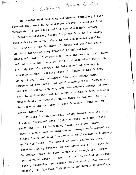In tracing back the Fieg and Sheehan families, I discovered that most of my ancestors arrived in America from Europe during the first half of the nineteenth century. My Great-Grandfather, Joseph Fieg, was born in Stuttgart, Wuertemberg, Germany. There he met and married Caroline Louise Texter, the daughter of Ludwig and Caroline Texter. On their honeymoon they traveled to and settled in Cleveland, Ohio. They remained there the rest of their lives and had three children, two that died soon after birth and a third, Francis Joseph. He left school at the age of thirteen to begin working after the daath of his father. On April 26, 1911, he married Ida Irene Homogardner, daughter of Lena Ehert and Charles Homegardner. Charles was the son of George and Hary Ann Homegardner. Geroge had been born in Switzerland and had moved with his father, Uchannes Heingartner, to Sandusky, Ohio. There he had married Mary Ann Hermann who had come to Ohio from her birthplace in Alsace-Lorraine.

a Continent Lomite History

Francis Joseph (commonly called Joseph) and Ida Pieg lived in Cleveland until 1918 when they took their five small children to La Crange, Illinois, A year later a sixth son was born to them there. Joseph wastemployed by United Screw and Bolt Company both in Cleveland and Chicago until his death. The oldest of their children, Joseph Ignatius, is my father. He has lived all of his life in La Grange since the time he was six, except for a brief period right after his marriage when he worked in Springfield, Illinois. He attended St. Francis Xavier Grammar School, St. Ignatius High School, and Loyola University.

Service Marie Street